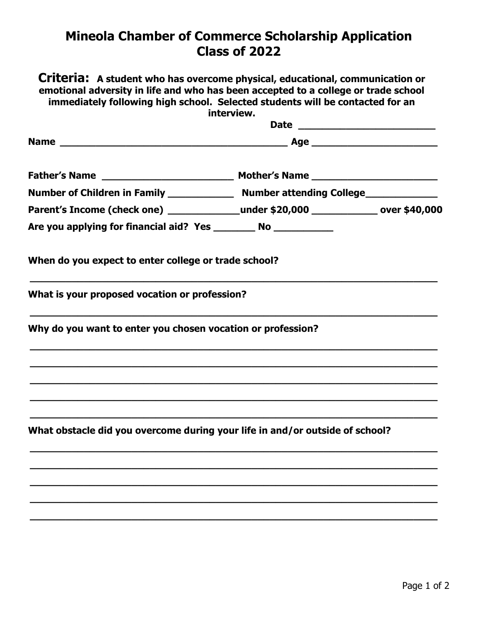## **Mineola Chamber of Commerce Scholarship Application Class of 2022**

**Criteria: A student who has overcome physical, educational, communication or emotional adversity in life and who has been accepted to a college or trade school immediately following high school. Selected students will be contacted for an interview.**

| Number of Children in Family ________________ Number attending College___________     |  |  |
|---------------------------------------------------------------------------------------|--|--|
| Parent's Income (check one) ______________under \$20,000 ______________ over \$40,000 |  |  |
|                                                                                       |  |  |
| When do you expect to enter college or trade school?                                  |  |  |
| What is your proposed vocation or profession?                                         |  |  |
| Why do you want to enter you chosen vocation or profession?                           |  |  |
|                                                                                       |  |  |
|                                                                                       |  |  |
| What obstacle did you overcome during your life in and/or outside of school?          |  |  |
|                                                                                       |  |  |
|                                                                                       |  |  |
|                                                                                       |  |  |

**\_\_\_\_\_\_\_\_\_\_\_\_\_\_\_\_\_\_\_\_\_\_\_\_\_\_\_\_\_\_\_\_\_\_\_\_\_\_\_\_\_\_\_\_\_\_\_\_\_\_\_\_\_\_\_\_\_\_\_\_\_\_\_\_\_\_\_\_**